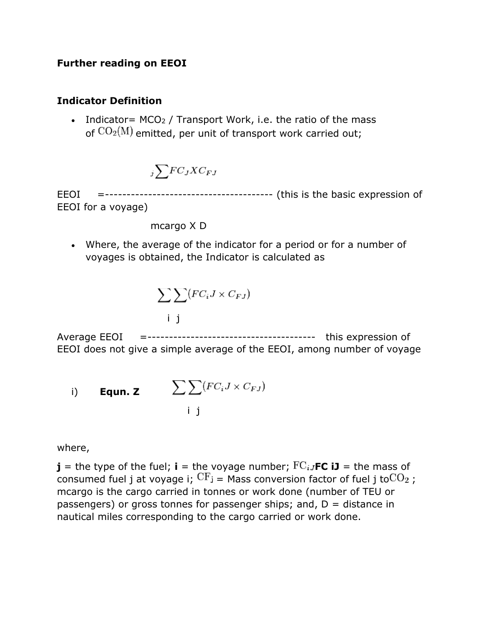#### **Further reading on EEOI**

#### **Indicator Definition**

• Indicator=  $MCO<sub>2</sub>$  / Transport Work, i.e. the ratio of the mass of  $CO<sub>2</sub>(M)$  emitted, per unit of transport work carried out;

$$
_{j}\sum\!FC_{J}XC_{FJ}
$$

EEOI =--------------------------------------- (this is the basic expression of EEOI for a voyage)

mcargo X D

• Where, the average of the indicator for a period or for a number of voyages is obtained, the Indicator is calculated as

$$
\sum \sum (FC_iJ \times C_{FJ})
$$

Average EEOI =--------------------------------------- this expression of EEOI does not give a simple average of the EEOI, among number of voyage

i) **Equn. z** 
$$
\sum \sum (FC_i J \times C_{FJ})
$$
  
i j

where,

**j** = the type of the fuel; **i** = the voyage number;  $FC_{iJ}FC$  **iJ** = the mass of consumed fuel j at voyage i;  $CF_i$  = Mass conversion factor of fuel j to  $CO_2$ ; mcargo is the cargo carried in tonnes or work done (number of TEU or passengers) or gross tonnes for passenger ships; and,  $D =$  distance in nautical miles corresponding to the cargo carried or work done.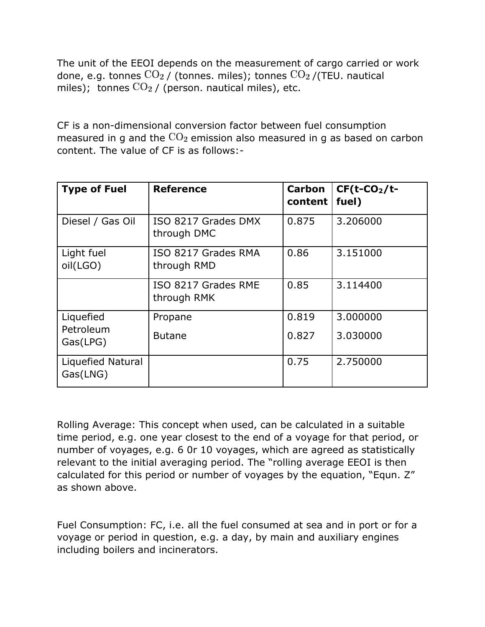The unit of the EEOI depends on the measurement of cargo carried or work done, e.g. tonnes  $CO<sub>2</sub>$  / (tonnes. miles); tonnes  $CO<sub>2</sub>$  /(TEU. nautical miles); tonnes  $CO<sub>2</sub>$  / (person. nautical miles), etc.

CF is a non-dimensional conversion factor between fuel consumption measured in g and the  $CO<sub>2</sub>$  emission also measured in g as based on carbon content. The value of CF is as follows:-

| <b>Type of Fuel</b>           | <b>Reference</b>                   | Carbon<br>content | $CF(t-CO2/t-$<br>fuel) |
|-------------------------------|------------------------------------|-------------------|------------------------|
| Diesel / Gas Oil              | ISO 8217 Grades DMX<br>through DMC | 0.875             | 3.206000               |
| Light fuel<br>oil(LGO)        | ISO 8217 Grades RMA<br>through RMD | 0.86              | 3.151000               |
|                               | ISO 8217 Grades RME<br>through RMK | 0.85              | 3.114400               |
| Liquefied                     | Propane                            | 0.819             | 3,000000               |
| Petroleum<br>Gas(LPG)         | <b>Butane</b>                      | 0.827             | 3.030000               |
| Liquefied Natural<br>Gas(LNG) |                                    | 0.75              | 2.750000               |

Rolling Average: This concept when used, can be calculated in a suitable time period, e.g. one year closest to the end of a voyage for that period, or number of voyages, e.g. 6 0r 10 voyages, which are agreed as statistically relevant to the initial averaging period. The "rolling average EEOI is then calculated for this period or number of voyages by the equation, "Equn. Z" as shown above.

Fuel Consumption: FC, i.e. all the fuel consumed at sea and in port or for a voyage or period in question, e.g. a day, by main and auxiliary engines including boilers and incinerators.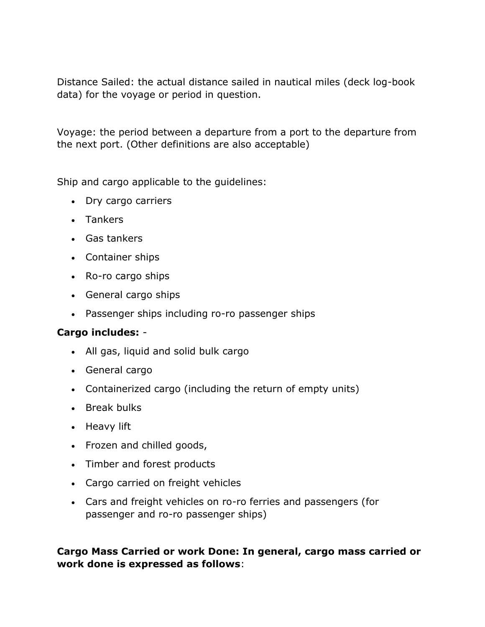Distance Sailed: the actual distance sailed in nautical miles (deck log-book data) for the voyage or period in question.

Voyage: the period between a departure from a port to the departure from the next port. (Other definitions are also acceptable)

Ship and cargo applicable to the guidelines:

- Dry cargo carriers
- Tankers
- Gas tankers
- Container ships
- Ro-ro cargo ships
- General cargo ships
- Passenger ships including ro-ro passenger ships

## **Cargo includes:** -

- All gas, liquid and solid bulk cargo
- General cargo
- Containerized cargo (including the return of empty units)
- Break bulks
- Heavy lift
- Frozen and chilled goods,
- Timber and forest products
- Cargo carried on freight vehicles
- Cars and freight vehicles on ro-ro ferries and passengers (for passenger and ro-ro passenger ships)

## **Cargo Mass Carried or work Done: In general, cargo mass carried or work done is expressed as follows**: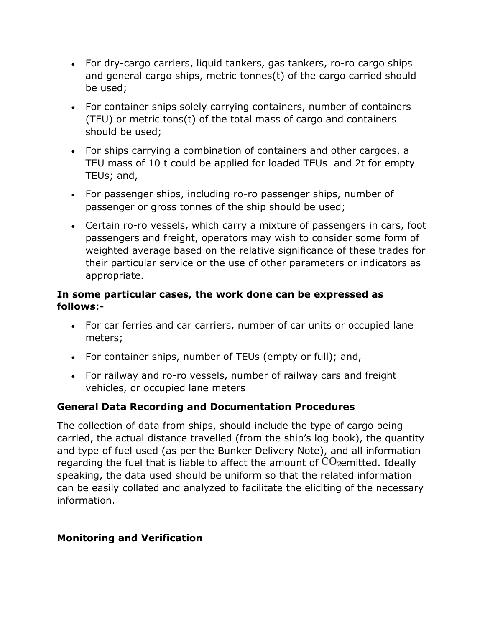- For dry-cargo carriers, liquid tankers, gas tankers, ro-ro cargo ships and general cargo ships, metric tonnes(t) of the cargo carried should be used;
- For container ships solely carrying containers, number of containers (TEU) or metric tons(t) of the total mass of cargo and containers should be used;
- For ships carrying a combination of containers and other cargoes, a TEU mass of 10 t could be applied for loaded TEUs and 2t for empty TEUs; and,
- For passenger ships, including ro-ro passenger ships, number of passenger or gross tonnes of the ship should be used;
- Certain ro-ro vessels, which carry a mixture of passengers in cars, foot passengers and freight, operators may wish to consider some form of weighted average based on the relative significance of these trades for their particular service or the use of other parameters or indicators as appropriate.

## **In some particular cases, the work done can be expressed as follows:-**

- For car ferries and car carriers, number of car units or occupied lane meters;
- For container ships, number of TEUs (empty or full); and,
- For railway and ro-ro vessels, number of railway cars and freight vehicles, or occupied lane meters

# **General Data Recording and Documentation Procedures**

The collection of data from ships, should include the type of cargo being carried, the actual distance travelled (from the ship's log book), the quantity and type of fuel used (as per the Bunker Delivery Note), and all information regarding the fuel that is liable to affect the amount of  $CO_2$ emitted. Ideally speaking, the data used should be uniform so that the related information can be easily collated and analyzed to facilitate the eliciting of the necessary information.

## **Monitoring and Verification**